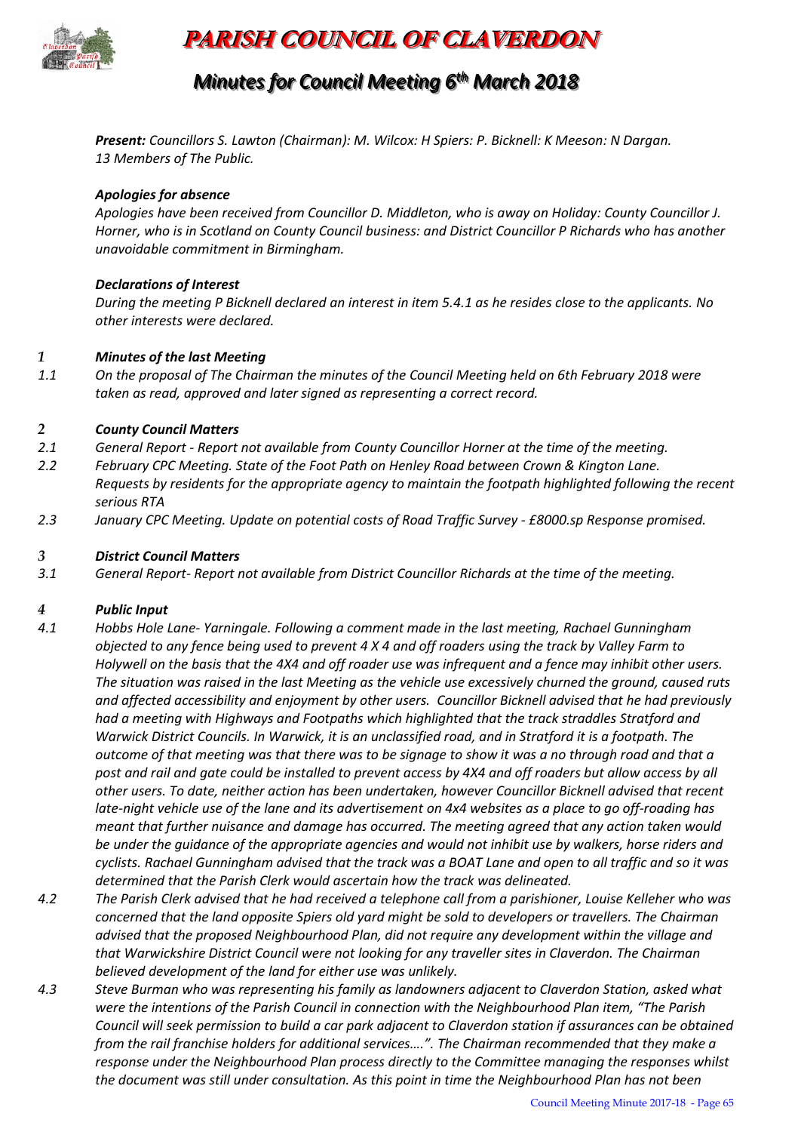

# **PARISH COUNCIL OF CLAVERDON**

# *Mi inutes for Counci i l l Meeti ing 6 t thh March 2018*

*Present: Councillors S. Lawton (Chairman): M. Wilcox: H Spiers: P. Bicknell: K Meeson: N Dargan. 13 Members of The Public.*

## *Apologies for absence*

*Apologies have been received from Councillor D. Middleton, who is away on Holiday: County Councillor J. Horner, who is in Scotland on County Council business: and District Councillor P Richards who has another unavoidable commitment in Birmingham.* 

#### *Declarations of Interest*

*During the meeting P Bicknell declared an interest in item 5.4.1 as he resides close to the applicants. No other interests were declared.*

## *1 Minutes of the last Meeting*

*1.1 On the proposal of The Chairman the minutes of the Council Meeting held on 6th February 2018 were taken as read, approved and later signed as representing a correct record.*

## *2 County Council Matters*

- *2.1 General Report - Report not available from County Councillor Horner at the time of the meeting.*
- *2.2 February CPC Meeting. State of the Foot Path on Henley Road between Crown & Kington Lane. Requests by residents for the appropriate agency to maintain the footpath highlighted following the recent serious RTA*
- *2.3 January CPC Meeting. Update on potential costs of Road Traffic Survey - £8000.sp Response promised.*

#### *3 District Council Matters*

*3.1 General Report- Report not available from District Councillor Richards at the time of the meeting.*

#### *4 Public Input*

- *4.1 Hobbs Hole Lane- Yarningale. Following a comment made in the last meeting, Rachael Gunningham objected to any fence being used to prevent 4 X 4 and off roaders using the track by Valley Farm to Holywell on the basis that the 4X4 and off roader use was infrequent and a fence may inhibit other users. The situation was raised in the last Meeting as the vehicle use excessively churned the ground, caused ruts and affected accessibility and enjoyment by other users. Councillor Bicknell advised that he had previously had a meeting with Highways and Footpaths which highlighted that the track straddles Stratford and Warwick District Councils. In Warwick, it is an unclassified road, and in Stratford it is a footpath. The outcome of that meeting was that there was to be signage to show it was a no through road and that a post and rail and gate could be installed to prevent access by 4X4 and off roaders but allow access by all other users. To date, neither action has been undertaken, however Councillor Bicknell advised that recent late-night vehicle use of the lane and its advertisement on 4x4 websites as a place to go off-roading has meant that further nuisance and damage has occurred. The meeting agreed that any action taken would be under the guidance of the appropriate agencies and would not inhibit use by walkers, horse riders and cyclists. Rachael Gunningham advised that the track was a BOAT Lane and open to all traffic and so it was determined that the Parish Clerk would ascertain how the track was delineated.*
- *4.2 The Parish Clerk advised that he had received a telephone call from a parishioner, Louise Kelleher who was concerned that the land opposite Spiers old yard might be sold to developers or travellers. The Chairman advised that the proposed Neighbourhood Plan, did not require any development within the village and that Warwickshire District Council were not looking for any traveller sites in Claverdon. The Chairman believed development of the land for either use was unlikely.*
- *4.3 Steve Burman who was representing his family as landowners adjacent to Claverdon Station, asked what were the intentions of the Parish Council in connection with the Neighbourhood Plan item, "The Parish Council will seek permission to build a car park adjacent to Claverdon station if assurances can be obtained from the rail franchise holders for additional services….". The Chairman recommended that they make a response under the Neighbourhood Plan process directly to the Committee managing the responses whilst the document was still under consultation. As this point in time the Neighbourhood Plan has not been*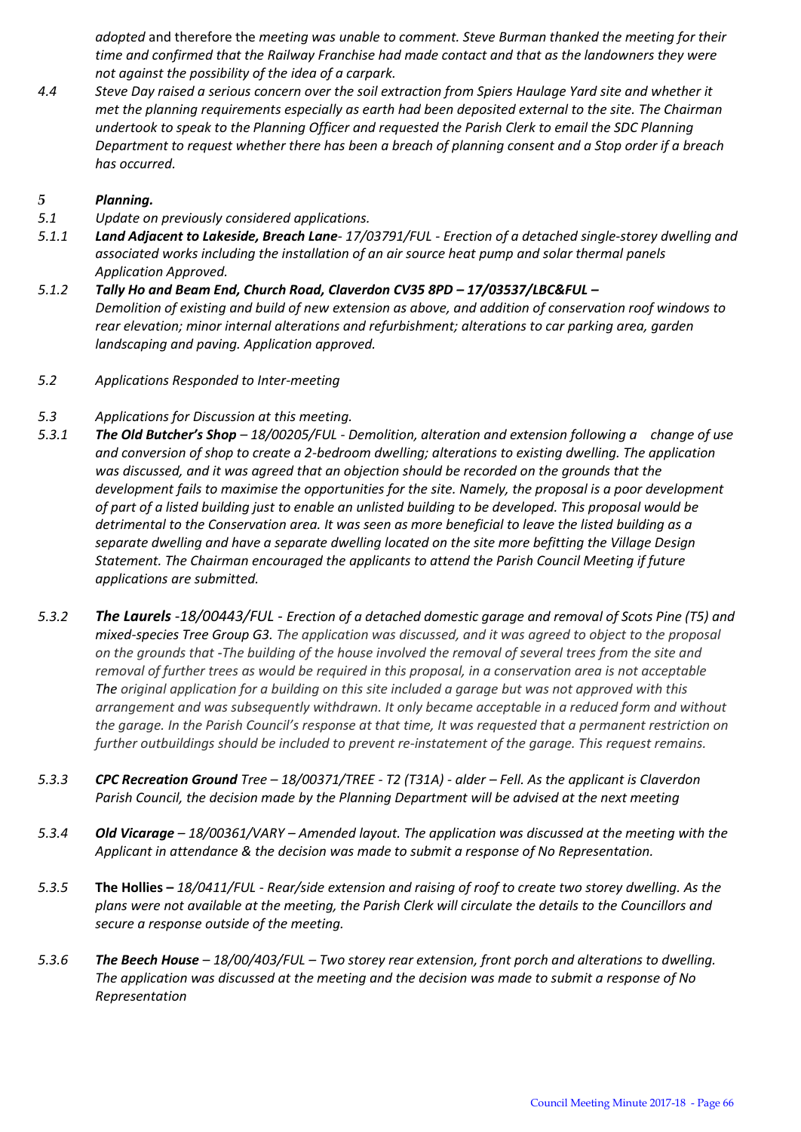*adopted* and therefore the *meeting was unable to comment. Steve Burman thanked the meeting for their time and confirmed that the Railway Franchise had made contact and that as the landowners they were not against the possibility of the idea of a carpark.* 

*4.4 Steve Day raised a serious concern over the soil extraction from Spiers Haulage Yard site and whether it met the planning requirements especially as earth had been deposited external to the site. The Chairman undertook to speak to the Planning Officer and requested the Parish Clerk to email the SDC Planning Department to request whether there has been a breach of planning consent and a Stop order if a breach has occurred.*

## *5 Planning.*

- *5.1 Update on previously considered applications.*
- *5.1.1 Land Adjacent to Lakeside, Breach Lane- 17/03791/FUL - Erection of a detached single-storey dwelling and associated works including the installation of an air source heat pump and solar thermal panels Application Approved.*
- *5.1.2 Tally Ho and Beam End, Church Road, Claverdon CV35 8PD – 17/03537/LBC&FUL – Demolition of existing and build of new extension as above, and addition of conservation roof windows to rear elevation; minor internal alterations and refurbishment; alterations to car parking area, garden landscaping and paving. Application approved.*
- *5.2 Applications Responded to Inter-meeting*

## *5.3 Applications for Discussion at this meeting.*

- *5.3.1 The Old Butcher's Shop – 18/00205/FUL Demolition, alteration and extension following a change of use and conversion of shop to create a 2-bedroom dwelling; alterations to existing dwelling. The application was discussed, and it was agreed that an objection should be recorded on the grounds that the development fails to maximise the opportunities for the site. Namely, the proposal is a poor development of part of a listed building just to enable an unlisted building to be developed. This proposal would be detrimental to the Conservation area. It was seen as more beneficial to leave the listed building as a separate dwelling and have a separate dwelling located on the site more befitting the Village Design Statement. The Chairman encouraged the applicants to attend the Parish Council Meeting if future applications are submitted.*
- *5.3.2 The Laurels -18/00443/FUL Erection of a detached domestic garage and removal of Scots Pine (T5) and mixed-species Tree Group G3. The application was discussed, and it was agreed to object to the proposal on the grounds that -The building of the house involved the removal of several trees from the site and removal of further trees as would be required in this proposal, in a conservation area is not acceptable The original application for a building on this site included a garage but was not approved with this arrangement and was subsequently withdrawn. It only became acceptable in a reduced form and without the garage. In the Parish Council's response at that time, It was requested that a permanent restriction on further outbuildings should be included to prevent re-instatement of the garage. This request remains.*
- *5.3.3 CPC Recreation Ground Tree – 18/00371/TREE - T2 (T31A) - alder – Fell. As the applicant is Claverdon Parish Council, the decision made by the Planning Department will be advised at the next meeting*
- *5.3.4 Old Vicarage – 18/00361/VARY – Amended layout. The application was discussed at the meeting with the Applicant in attendance & the decision was made to submit a response of No Representation.*
- *5.3.5* **The Hollies –** *18/0411/FUL - Rear/side extension and raising of roof to create two storey dwelling. As the plans were not available at the meeting, the Parish Clerk will circulate the details to the Councillors and secure a response outside of the meeting.*
- *5.3.6 The Beech House – 18/00/403/FUL – Two storey rear extension, front porch and alterations to dwelling. The application was discussed at the meeting and the decision was made to submit a response of No Representation*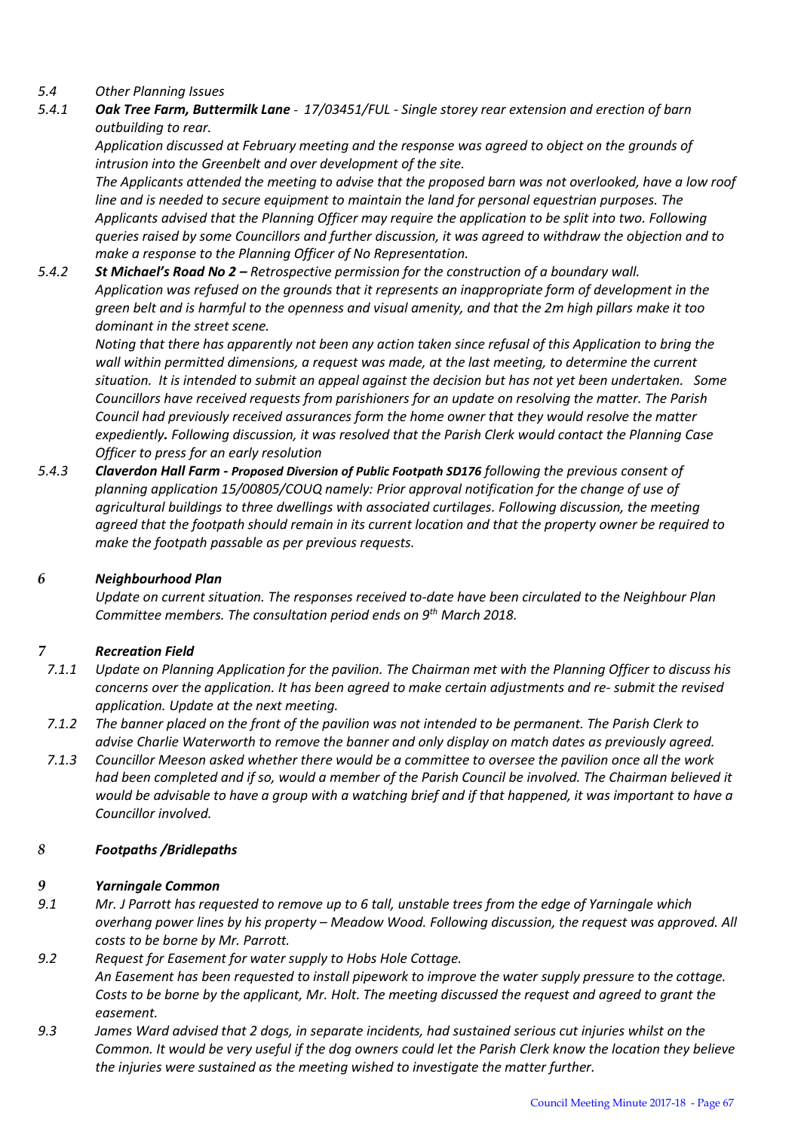## *5.4 Other Planning Issues*

*5.4.1 Oak Tree Farm, Buttermilk Lane - 17/03451/FUL - Single storey rear extension and erection of barn outbuilding to rear.* 

*Application discussed at February meeting and the response was agreed to object on the grounds of intrusion into the Greenbelt and over development of the site.* 

*The Applicants attended the meeting to advise that the proposed barn was not overlooked, have a low roof line and is needed to secure equipment to maintain the land for personal equestrian purposes. The Applicants advised that the Planning Officer may require the application to be split into two. Following queries raised by some Councillors and further discussion, it was agreed to withdraw the objection and to make a response to the Planning Officer of No Representation.*

*5.4.2 St Michael's Road No 2 – Retrospective permission for the construction of a boundary wall. Application was refused on the grounds that it represents an inappropriate form of development in the green belt and is harmful to the openness and visual amenity, and that the 2m high pillars make it too dominant in the street scene.* 

*Noting that there has apparently not been any action taken since refusal of this Application to bring the wall within permitted dimensions, a request was made, at the last meeting, to determine the current situation. It is intended to submit an appeal against the decision but has not yet been undertaken. Some Councillors have received requests from parishioners for an update on resolving the matter. The Parish Council had previously received assurances form the home owner that they would resolve the matter expediently. Following discussion, it was resolved that the Parish Clerk would contact the Planning Case Officer to press for an early resolution*

*5.4.3 Claverdon Hall Farm - Proposed Diversion of Public Footpath SD176 following the previous consent of planning application 15/00805/COUQ namely: Prior approval notification for the change of use of agricultural buildings to three dwellings with associated curtilages. Following discussion, the meeting agreed that the footpath should remain in its current location and that the property owner be required to make the footpath passable as per previous requests.* 

#### *6 Neighbourhood Plan*

*Update on current situation. The responses received to-date have been circulated to the Neighbour Plan Committee members. The consultation period ends on 9th March 2018.* 

## *7 Recreation Field*

- *7.1.1 Update on Planning Application for the pavilion. The Chairman met with the Planning Officer to discuss his concerns over the application. It has been agreed to make certain adjustments and re- submit the revised application. Update at the next meeting.*
- *7.1.2 The banner placed on the front of the pavilion was not intended to be permanent. The Parish Clerk to advise Charlie Waterworth to remove the banner and only display on match dates as previously agreed.*
- *7.1.3 Councillor Meeson asked whether there would be a committee to oversee the pavilion once all the work had been completed and if so, would a member of the Parish Council be involved. The Chairman believed it would be advisable to have a group with a watching brief and if that happened, it was important to have a Councillor involved.*

#### *8 Footpaths /Bridlepaths*

#### *9 Yarningale Common*

- *9.1 Mr. J Parrott has requested to remove up to 6 tall, unstable trees from the edge of Yarningale which overhang power lines by his property – Meadow Wood. Following discussion, the request was approved. All costs to be borne by Mr. Parrott.*
- *9.2 Request for Easement for water supply to Hobs Hole Cottage. An Easement has been requested to install pipework to improve the water supply pressure to the cottage. Costs to be borne by the applicant, Mr. Holt. The meeting discussed the request and agreed to grant the easement.*
- *9.3 James Ward advised that 2 dogs, in separate incidents, had sustained serious cut injuries whilst on the Common. It would be very useful if the dog owners could let the Parish Clerk know the location they believe the injuries were sustained as the meeting wished to investigate the matter further.*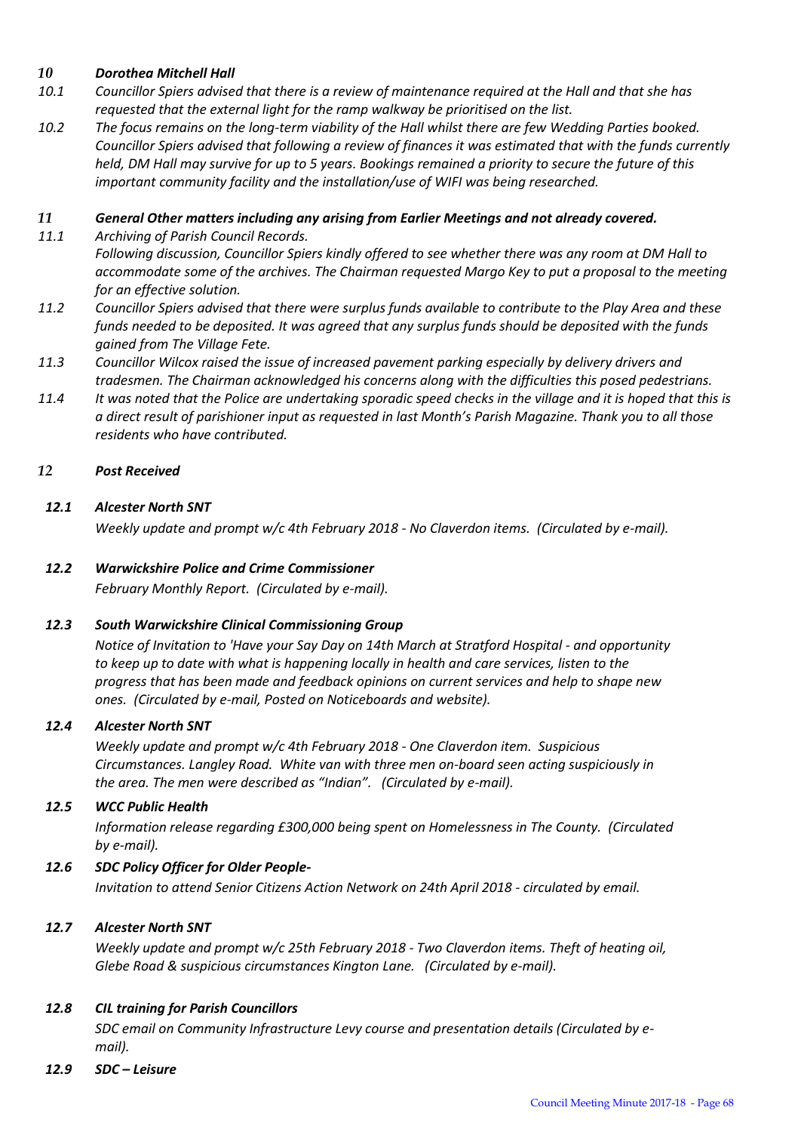## *10 Dorothea Mitchell Hall*

- *10.1 Councillor Spiers advised that there is a review of maintenance required at the Hall and that she has requested that the external light for the ramp walkway be prioritised on the list.*
- *10.2 The focus remains on the long-term viability of the Hall whilst there are few Wedding Parties booked. Councillor Spiers advised that following a review of finances it was estimated that with the funds currently held, DM Hall may survive for up to 5 years. Bookings remained a priority to secure the future of this important community facility and the installation/use of WIFI was being researched.*

## *11 General Other matters including any arising from Earlier Meetings and not already covered.*

- *11.1 Archiving of Parish Council Records. Following discussion, Councillor Spiers kindly offered to see whether there was any room at DM Hall to accommodate some of the archives. The Chairman requested Margo Key to put a proposal to the meeting for an effective solution.*
- *11.2 Councillor Spiers advised that there were surplus funds available to contribute to the Play Area and these funds needed to be deposited. It was agreed that any surplus funds should be deposited with the funds gained from The Village Fete.*
- *11.3 Councillor Wilcox raised the issue of increased pavement parking especially by delivery drivers and tradesmen. The Chairman acknowledged his concerns along with the difficulties this posed pedestrians.*
- *11.4 It was noted that the Police are undertaking sporadic speed checks in the village and it is hoped that this is a direct result of parishioner input as requested in last Month's Parish Magazine. Thank you to all those residents who have contributed.*

## *12 Post Received*

## *12.1 Alcester North SNT*

*Weekly update and prompt w/c 4th February 2018 - No Claverdon items. (Circulated by e-mail).*

## *12.2 Warwickshire Police and Crime Commissioner*

*February Monthly Report. (Circulated by e-mail).* 

#### *12.3 South Warwickshire Clinical Commissioning Group*

*Notice of Invitation to 'Have your Say Day on 14th March at Stratford Hospital - and opportunity to keep up to date with what is happening locally in health and care services, listen to the progress that has been made and feedback opinions on current services and help to shape new ones. (Circulated by e-mail, Posted on Noticeboards and website).* 

#### *12.4 Alcester North SNT*

*Weekly update and prompt w/c 4th February 2018 - One Claverdon item. Suspicious Circumstances. Langley Road. White van with three men on-board seen acting suspiciously in the area. The men were described as "Indian". (Circulated by e-mail).*

#### *12.5 WCC Public Health*

*Information release regarding £300,000 being spent on Homelessness in The County. (Circulated by e-mail).* 

#### *12.6 SDC Policy Officer for Older People-*

*Invitation to attend Senior Citizens Action Network on 24th April 2018 - circulated by email.* 

#### *12.7 Alcester North SNT*

*Weekly update and prompt w/c 25th February 2018 - Two Claverdon items. Theft of heating oil, Glebe Road & suspicious circumstances Kington Lane. (Circulated by e-mail).*

#### *12.8 CIL training for Parish Councillors*

*SDC email on Community Infrastructure Levy course and presentation details (Circulated by email).* 

#### *12.9 SDC – Leisure*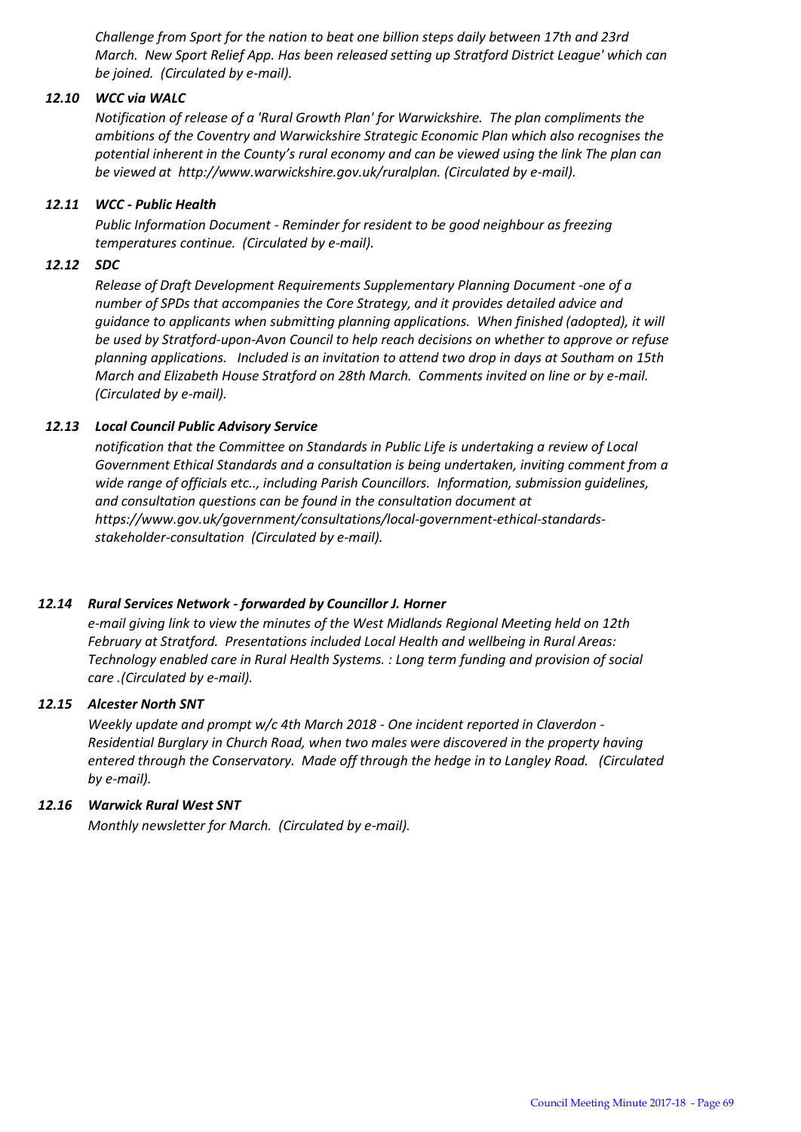*Challenge from Sport for the nation to beat one billion steps daily between 17th and 23rd March. New Sport Relief App. Has been released setting up Stratford District League' which can be joined. (Circulated by e-mail).* 

## *12.10 WCC via WALC*

*Notification of release of a 'Rural Growth Plan' for Warwickshire. The plan compliments the ambitions of the Coventry and Warwickshire Strategic Economic Plan which also recognises the potential inherent in the County's rural economy and can be viewed using the link The plan can be viewed at http://www.warwickshire.gov.uk/ruralplan. (Circulated by e-mail).* 

#### *12.11 WCC - Public Health*

*Public Information Document - Reminder for resident to be good neighbour as freezing temperatures continue. (Circulated by e-mail).* 

### *12.12 SDC*

*Release of Draft Development Requirements Supplementary Planning Document -one of a number of SPDs that accompanies the Core Strategy, and it provides detailed advice and guidance to applicants when submitting planning applications. When finished (adopted), it will be used by Stratford-upon-Avon Council to help reach decisions on whether to approve or refuse planning applications. Included is an invitation to attend two drop in days at Southam on 15th March and Elizabeth House Stratford on 28th March. Comments invited on line or by e-mail. (Circulated by e-mail).* 

## *12.13 Local Council Public Advisory Service*

*notification that the Committee on Standards in Public Life is undertaking a review of Local Government Ethical Standards and a consultation is being undertaken, inviting comment from a wide range of officials etc.., including Parish Councillors. Information, submission guidelines, and consultation questions can be found in the consultation document at https://www.gov.uk/government/consultations/local-government-ethical-standardsstakeholder-consultation (Circulated by e-mail).* 

#### *12.14 Rural Services Network - forwarded by Councillor J. Horner*

*e-mail giving link to view the minutes of the West Midlands Regional Meeting held on 12th February at Stratford. Presentations included Local Health and wellbeing in Rural Areas: Technology enabled care in Rural Health Systems. : Long term funding and provision of social care .(Circulated by e-mail).* 

#### *12.15 Alcester North SNT*

*Weekly update and prompt w/c 4th March 2018 - One incident reported in Claverdon - Residential Burglary in Church Road, when two males were discovered in the property having entered through the Conservatory. Made off through the hedge in to Langley Road. (Circulated by e-mail).*

#### *12.16 Warwick Rural West SNT*

*Monthly newsletter for March. (Circulated by e-mail).*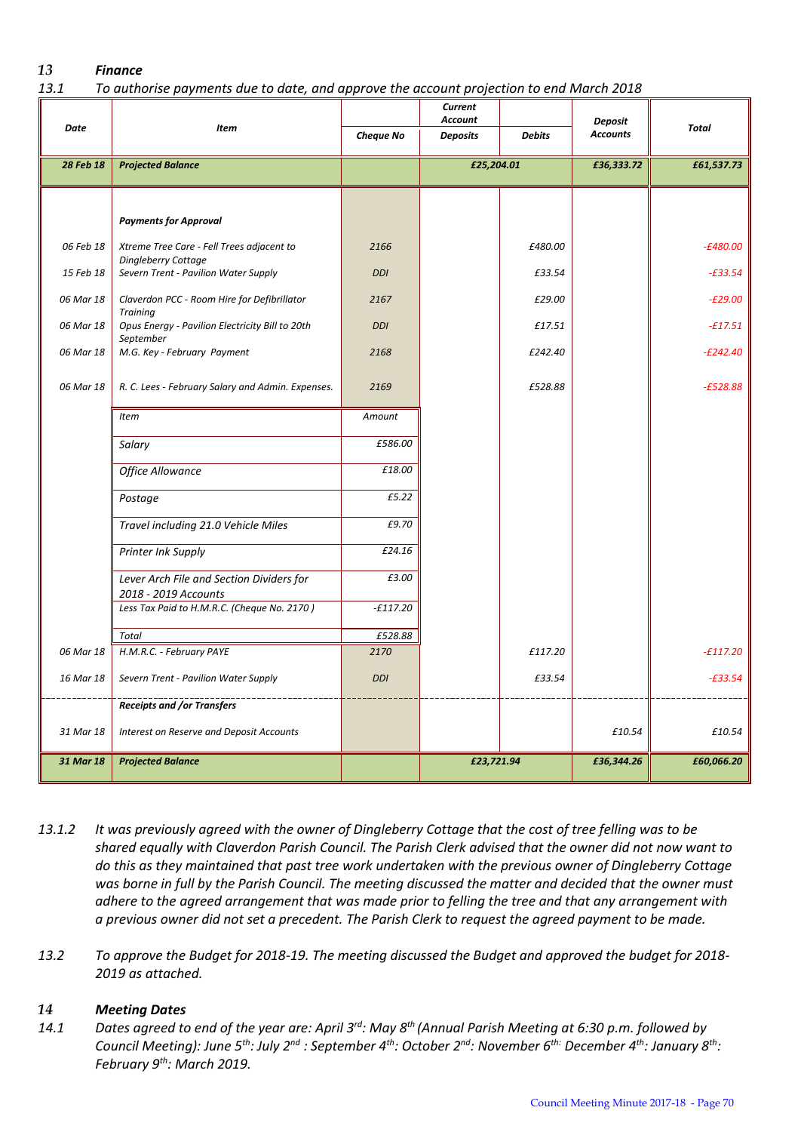# *13 Finance*

## *13.1 To authorise payments due to date, and approve the account projection to end March 2018*

|             |                                                                  | Current<br><b>Account</b> |                 |               |                            |              |
|-------------|------------------------------------------------------------------|---------------------------|-----------------|---------------|----------------------------|--------------|
| <b>Date</b> | <b>Item</b>                                                      | <b>Cheque No</b>          | <b>Deposits</b> | <b>Debits</b> | Deposit<br><b>Accounts</b> | <b>Total</b> |
| 28 Feb 18   | <b>Projected Balance</b>                                         |                           | £25,204.01      |               | £36,333.72                 | £61,537.73   |
|             |                                                                  |                           |                 |               |                            |              |
|             | <b>Payments for Approval</b>                                     |                           |                 |               |                            |              |
| 06 Feb 18   | Xtreme Tree Care - Fell Trees adjacent to                        | 2166                      |                 | £480.00       |                            | $-£480.00$   |
| 15 Feb 18   | Dingleberry Cottage<br>Severn Trent - Pavilion Water Supply      | <b>DDI</b>                |                 | £33.54        |                            | $-£33.54$    |
| 06 Mar 18   | Claverdon PCC - Room Hire for Defibrillator<br><b>Training</b>   | 2167                      |                 | £29.00        |                            | $-E29.00$    |
| 06 Mar 18   | Opus Energy - Pavilion Electricity Bill to 20th<br>September     | <b>DDI</b>                |                 | £17.51        |                            | $-£17.51$    |
| 06 Mar 18   | M.G. Key - February Payment                                      | 2168                      |                 | £242.40       |                            | $-E242.40$   |
| 06 Mar 18   | R. C. Lees - February Salary and Admin. Expenses.                | 2169                      |                 | £528.88       |                            | $-E528.88$   |
|             | <b>Item</b>                                                      | Amount                    |                 |               |                            |              |
|             | Salary                                                           | £586.00                   |                 |               |                            |              |
|             | <b>Office Allowance</b>                                          | £18.00                    |                 |               |                            |              |
|             | Postage                                                          | £5.22                     |                 |               |                            |              |
|             | Travel including 21.0 Vehicle Miles                              | £9.70                     |                 |               |                            |              |
|             | Printer Ink Supply                                               | £24.16                    |                 |               |                            |              |
|             | Lever Arch File and Section Dividers for<br>2018 - 2019 Accounts | £3.00                     |                 |               |                            |              |
|             | Less Tax Paid to H.M.R.C. (Cheque No. 2170)                      | $-£117.20$                |                 |               |                            |              |
|             | <b>Total</b>                                                     | £528.88                   |                 |               |                            |              |
| 06 Mar 18   | H.M.R.C. - February PAYE                                         | 2170                      |                 | £117.20       |                            | $-f117.20$   |
| 16 Mar 18   | Severn Trent - Pavilion Water Supply                             | <b>DDI</b>                |                 | £33.54        |                            | $-E33.54$    |
|             | <b>Receipts and /or Transfers</b>                                |                           |                 |               |                            |              |
| 31 Mar 18   | Interest on Reserve and Deposit Accounts                         |                           |                 |               | £10.54                     | £10.54       |
| 31 Mar 18   | <b>Projected Balance</b>                                         |                           | £23,721.94      |               | £36,344.26                 | £60,066.20   |

- *13.1.2 It was previously agreed with the owner of Dingleberry Cottage that the cost of tree felling was to be shared equally with Claverdon Parish Council. The Parish Clerk advised that the owner did not now want to do this as they maintained that past tree work undertaken with the previous owner of Dingleberry Cottage was borne in full by the Parish Council. The meeting discussed the matter and decided that the owner must adhere to the agreed arrangement that was made prior to felling the tree and that any arrangement with a previous owner did not set a precedent. The Parish Clerk to request the agreed payment to be made.*
- *13.2 To approve the Budget for 2018-19. The meeting discussed the Budget and approved the budget for 2018- 2019 as attached.*

# *14 Meeting Dates*

*14.1 Dates agreed to end of the year are: April 3rd: May 8th (Annual Parish Meeting at 6:30 p.m. followed by Council Meeting): June 5th: July 2nd : September 4th: October 2nd: November 6th: December 4th: January 8th : February 9th: March 2019.*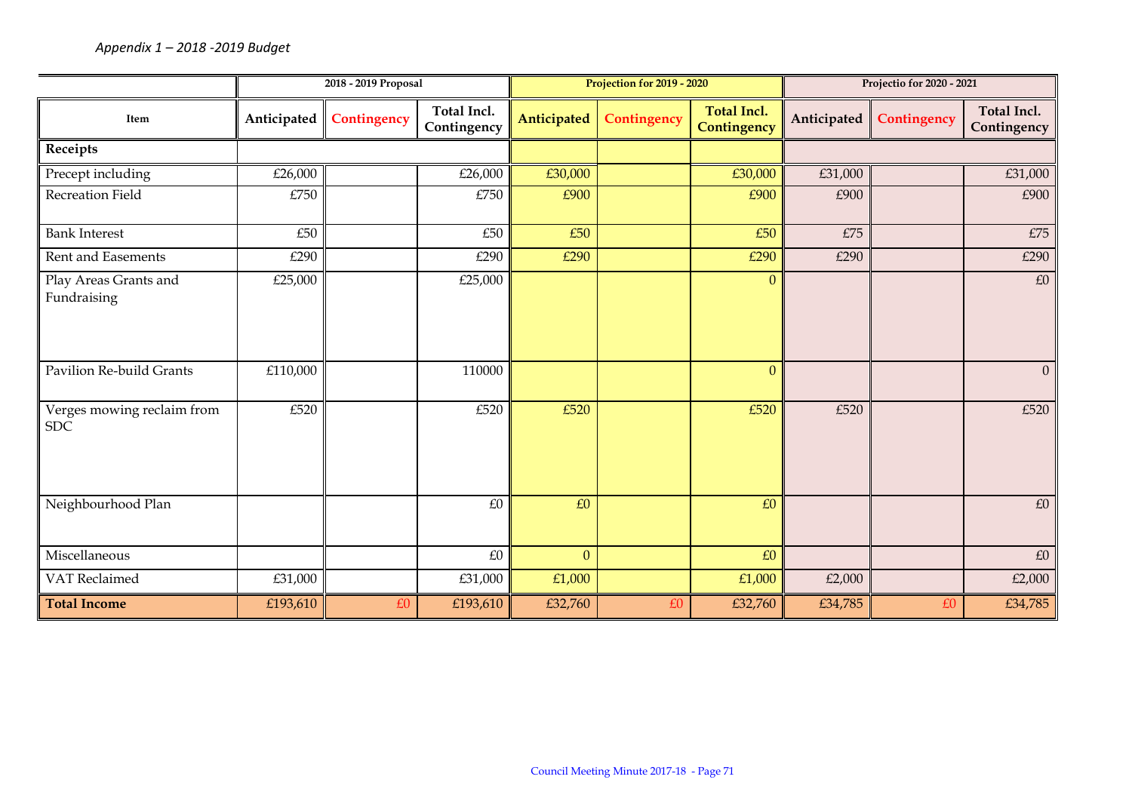|                                          | 2018 - 2019 Proposal |             | Projection for 2019 - 2020 |                |             | Projectio for 2020 - 2021                |             |             |                            |
|------------------------------------------|----------------------|-------------|----------------------------|----------------|-------------|------------------------------------------|-------------|-------------|----------------------------|
| Item                                     | Anticipated          | Contingency | Total Incl.<br>Contingency | Anticipated    | Contingency | <b>Total Incl.</b><br><b>Contingency</b> | Anticipated | Contingency | Total Incl.<br>Contingency |
| Receipts                                 |                      |             |                            |                |             |                                          |             |             |                            |
| Precept including                        | £26,000              |             | £26,000                    | £30,000        |             | £30,000                                  | £31,000     |             | £31,000                    |
| Recreation Field                         | £750                 |             | £750                       | £900           |             | £900                                     | £900        |             | £900                       |
| <b>Bank Interest</b>                     | £50                  |             | £50                        | £50            |             | £50                                      | £75         |             | £75                        |
| <b>Rent and Easements</b>                | £290                 |             | £290                       | £290           |             | £290                                     | £290        |             | £290                       |
| Play Areas Grants and<br>Fundraising     | £25,000              |             | £25,000                    |                |             | $\Omega$                                 |             |             | $E_0$                      |
| <b>Pavilion Re-build Grants</b>          | £110,000             |             | 110000                     |                |             | $\mathbf{0}$                             |             |             | $\overline{0}$             |
| Verges mowing reclaim from<br><b>SDC</b> | £520                 |             | £520                       | £520           |             | £520                                     | £520        |             | £520                       |
| Neighbourhood Plan                       |                      |             | £0                         | £0             |             | £0                                       |             |             | £0                         |
| Miscellaneous                            |                      |             | $\pounds0$                 | $\overline{0}$ |             | £0                                       |             |             | £0                         |
| <b>VAT</b> Reclaimed                     | £31,000              |             | £31,000                    | £1,000         |             | £1,000                                   | £2,000      |             | £2,000                     |
| <b>Total Income</b>                      | £193,610             | £0          | £193,610                   | £32,760        | £0          | £32,760                                  | £34,785     | £0          | £34,785                    |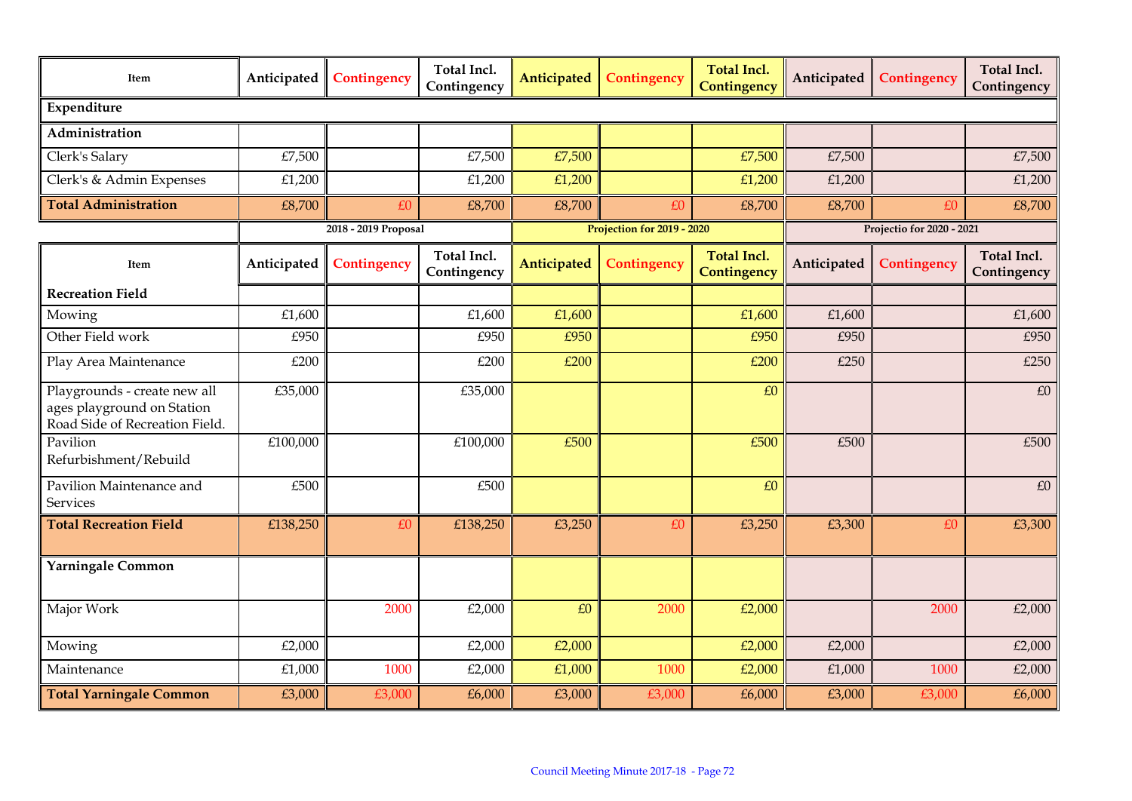| Item                                                                                         | Anticipated | Contingency          | Total Incl.<br>Contingency | Anticipated | Contingency                | <b>Total Incl.</b><br>Contingency | Anticipated               | Contingency | Total Incl.<br>Contingency |
|----------------------------------------------------------------------------------------------|-------------|----------------------|----------------------------|-------------|----------------------------|-----------------------------------|---------------------------|-------------|----------------------------|
| Expenditure                                                                                  |             |                      |                            |             |                            |                                   |                           |             |                            |
| Administration                                                                               |             |                      |                            |             |                            |                                   |                           |             |                            |
| Clerk's Salary                                                                               | £7,500      |                      | £7,500                     | £7,500      |                            | £7,500                            | £7,500                    |             | £7,500                     |
| Clerk's & Admin Expenses                                                                     | £1,200      |                      | £1,200                     | £1,200      |                            | £1,200                            | £1,200                    |             | £1,200                     |
| <b>Total Administration</b>                                                                  | £8,700      | £0                   | £8,700                     | £8,700      | E <sub>0</sub>             | £8,700                            | £8,700                    | £0          | £8,700                     |
|                                                                                              |             | 2018 - 2019 Proposal |                            |             | Projection for 2019 - 2020 |                                   | Projectio for 2020 - 2021 |             |                            |
| Item                                                                                         | Anticipated | Contingency          | Total Incl.<br>Contingency | Anticipated | Contingency                | <b>Total Incl.</b><br>Contingency | Anticipated               | Contingency | Total Incl.<br>Contingency |
| <b>Recreation Field</b>                                                                      |             |                      |                            |             |                            |                                   |                           |             |                            |
| Mowing                                                                                       | £1,600      |                      | £1,600                     | £1,600      |                            | £1,600                            | £1,600                    |             | £1,600                     |
| Other Field work                                                                             | £950        |                      | £950                       | £950        |                            | £950                              | £950                      |             | £950                       |
| Play Area Maintenance                                                                        | £200        |                      | £200                       | £200        |                            | £200                              | £250                      |             | £250                       |
| Playgrounds - create new all<br>ages playground on Station<br>Road Side of Recreation Field. | £35,000     |                      | £35,000                    |             |                            | £0                                |                           |             | $\pounds0$                 |
| Pavilion<br>Refurbishment/Rebuild                                                            | £100,000    |                      | £100,000                   | £500        |                            | £500                              | £500                      |             | £500                       |
| Pavilion Maintenance and<br><b>Services</b>                                                  | £500        |                      | £500                       |             |                            | £0                                |                           |             | $\pounds0$                 |
| <b>Total Recreation Field</b>                                                                | £138,250    | £0                   | £138,250                   | £3,250      | £0                         | £3,250                            | £3,300                    | £0          | £3,300                     |
| <b>Yarningale Common</b>                                                                     |             |                      |                            |             |                            |                                   |                           |             |                            |
| Major Work                                                                                   |             | 2000                 | £2,000                     | £0          | 2000                       | £2,000                            |                           | 2000        | £2,000                     |
| Mowing                                                                                       | £2,000      |                      | £2,000                     | £2,000      |                            | £2,000                            | £2,000                    |             | £2,000                     |
| Maintenance                                                                                  | £1,000      | 1000                 | £2,000                     | £1,000      | 1000                       | £2,000                            | £1,000                    | 1000        | £2,000                     |
| <b>Total Yarningale Common</b>                                                               | £3,000      | £3,000               | £6,000                     | £3,000      | £3,000                     | £6,000                            | £3,000                    | £3,000      | £6,000                     |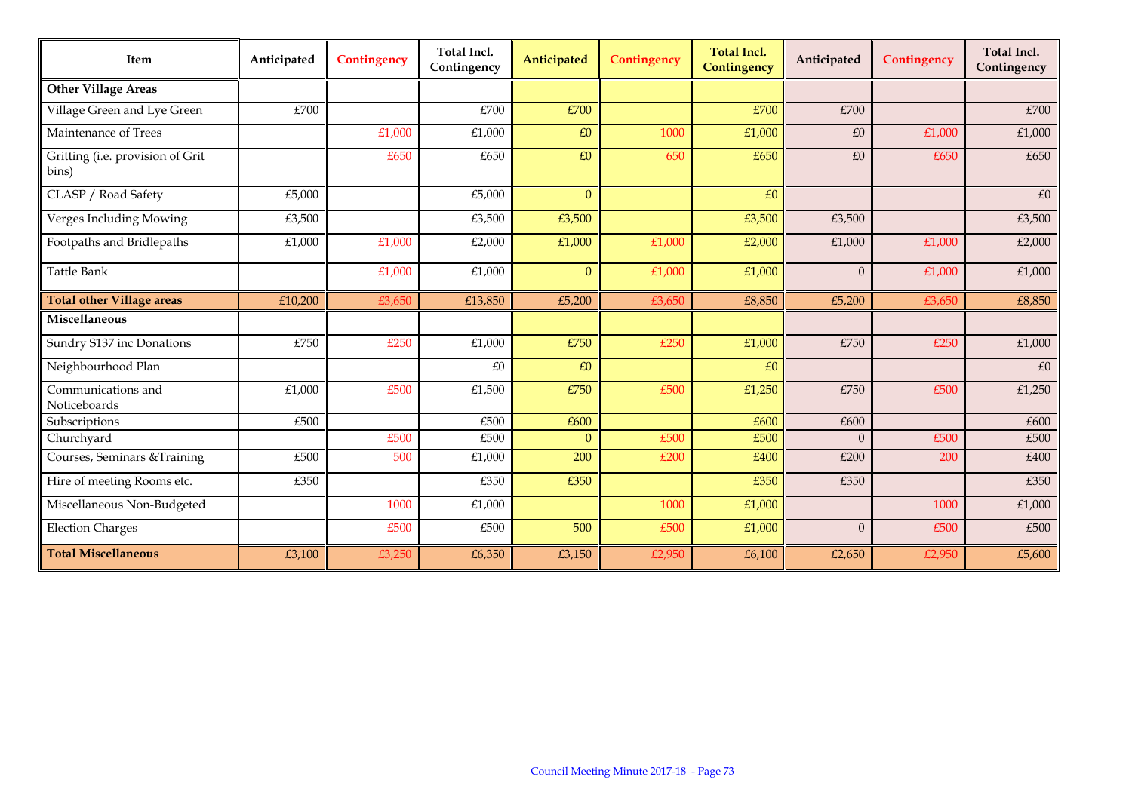| Item                                      | Anticipated | Contingency | <b>Total Incl.</b><br>Contingency | Anticipated    | Contingency | <b>Total Incl.</b><br>Contingency | Anticipated    | Contingency | <b>Total Incl.</b><br>Contingency |
|-------------------------------------------|-------------|-------------|-----------------------------------|----------------|-------------|-----------------------------------|----------------|-------------|-----------------------------------|
| <b>Other Village Areas</b>                |             |             |                                   |                |             |                                   |                |             |                                   |
| Village Green and Lye Green               | £700        |             | £700                              | £700           |             | £700                              | £700           |             | £700                              |
| Maintenance of Trees                      |             | £1,000      | £1,000                            | £0             | 1000        | £1,000                            | $\pounds 0$    | £1,000      | £1,000                            |
| Gritting (i.e. provision of Grit<br>bins) |             | £650        | £650                              | $\pounds0$     | 650         | £650                              | $\pounds0$     | £650        | £650                              |
| CLASP / Road Safety                       | £5,000      |             | £5,000                            | $\overline{0}$ |             | £0                                |                |             | £0                                |
| Verges Including Mowing                   | £3,500      |             | £3,500                            | £3,500         |             | £3,500                            | £3,500         |             | £3,500                            |
| Footpaths and Bridlepaths                 | £1,000      | £1,000      | £2,000                            | £1,000         | £1,000      | £2,000                            | £1,000         | £1,000      | £2,000                            |
| <b>Tattle Bank</b>                        |             | £1,000      | £1,000                            | $\Omega$       | £1,000      | £1,000                            | $\overline{0}$ | £1,000      | £1,000                            |
| <b>Total other Village areas</b>          | £10,200     | £3,650      | £13,850                           | £5,200         | £3,650      | £8,850                            | £5,200         | £3,650      | £8,850                            |
| Miscellaneous                             |             |             |                                   |                |             |                                   |                |             |                                   |
| Sundry S137 inc Donations                 | £750        | £250        | £1,000                            | £750           | £250        | £1,000                            | £750           | £250        | £1,000                            |
| Neighbourhood Plan                        |             |             | £0                                | £0             |             | £0                                |                |             | £0                                |
| Communications and<br>Noticeboards        | £1,000      | £500        | £1,500                            | £750           | £500        | £1,250                            | £750           | £500        | £1,250                            |
| Subscriptions                             | £500        |             | £500                              | £600           |             | £600                              | £600           |             | £600                              |
| Churchyard                                |             | £500        | £500                              | $\Omega$       | £500        | £500                              | $\Omega$       | £500        | £500                              |
| Courses, Seminars & Training              | £500        | 500         | £1,000                            | 200            | £200        | £400                              | £200           | 200         | £400                              |
| Hire of meeting Rooms etc.                | £350        |             | £350                              | £350           |             | £350                              | £350           |             | £350                              |
| Miscellaneous Non-Budgeted                |             | 1000        | £1,000                            |                | 1000        | £1,000                            |                | 1000        | £1,000                            |
| <b>Election Charges</b>                   |             | £500        | £500                              | 500            | £500        | £1,000                            | $\mathbf{0}$   | £500        | £500                              |
| <b>Total Miscellaneous</b>                | £3,100      | £3,250      | £6,350                            | £3,150         | £2,950      | £6,100                            | £2,650         | £2,950      | £5,600                            |